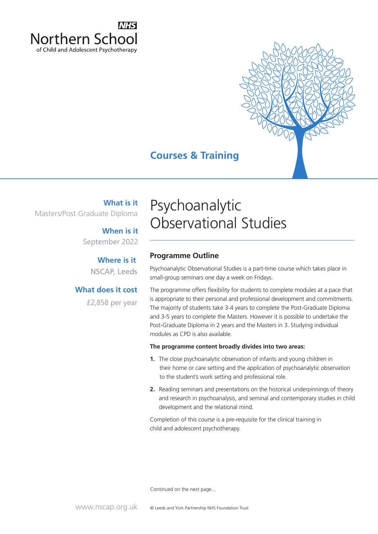

## **Courses & Training**

**What is it** Masters/Post Graduate Diploma

> **When is it** September 2022

> > NSCAP, Leeds **Where is it**

**What does it cost**

£2,858 per year

# Psychoanalytic Observational Studies

### **Programme Outline**

Psychoanalytic Observational Studies is a part-time course which takes place in small-group seminars one day a week on Fridays.

The programme offers flexibility for students to complete modules at a pace that is appropriate to their personal and professional development and commitments. The majority of students take 3-4 years to complete the Post-Graduate Diploma and 3-5 years to complete the Masters. However it is possible to undertake the Post-Graduate Diploma in 2 years and the Masters in 3. Studying individual modules as CPD is also available.

#### **The programme content broadly divides into two areas:**

- **1.** The close psychoanalytic observation of infants and young children in their home or care setting and the application of psychoanalytic observation to the student's work setting and professional role.
- **2.** Reading seminars and presentations on the historical underpinnings of theory and research in psychoanalysis, and seminal and contemporary studies in child development and the relational mind.

Completion of this course is a pre-requisite for the clinical training in child and adolescent psychotherapy.

Continued on the next page...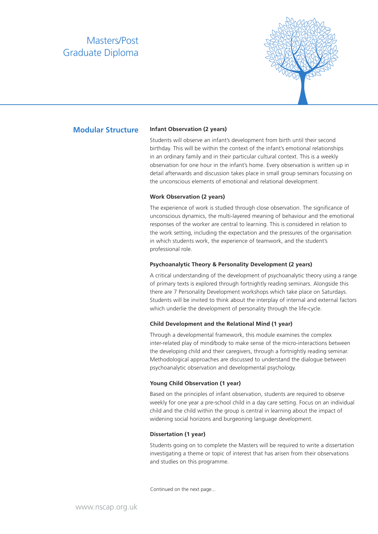### Masters/Post Graduate Diploma



#### **Modular Structure**

#### **Infant Observation (2 years)**

Students will observe an infant's development from birth until their second birthday. This will be within the context of the infant's emotional relationships in an ordinary family and in their particular cultural context. This is a weekly observation for one hour in the infant's home. Every observation is written up in detail afterwards and discussion takes place in small group seminars focussing on the unconscious elements of emotional and relational development.

#### **Work Observation (2 years)**

The experience of work is studied through close observation. The significance of unconscious dynamics, the multi-layered meaning of behaviour and the emotional responses of the worker are central to learning. This is considered in relation to the work setting, including the expectation and the pressures of the organisation in which students work, the experience of teamwork, and the student's professional role.

#### **Psychoanalytic Theory & Personality Development (2 years)**

A critical understanding of the development of psychoanalytic theory using a range of primary texts is explored through fortnightly reading seminars. Alongside this there are 7 Personality Development workshops which take place on Saturdays. Students will be invited to think about the interplay of internal and external factors which underlie the development of personality through the life-cycle.

#### **Child Development and the Relational Mind (1 year)**

Through a developmental framework, this module examines the complex inter-related play of mind/body to make sense of the micro-interactions between the developing child and their caregivers, through a fortnightly reading seminar. Methodological approaches are discussed to understand the dialogue between psychoanalytic observation and developmental psychology.

#### **Young Child Observation (1 year)**

Based on the principles of infant observation, students are required to observe weekly for one year a pre-school child in a day care setting. Focus on an individual child and the child within the group is central in learning about the impact of widening social horizons and burgeoning language development.

#### **Dissertation (1 year)**

Students going on to complete the Masters will be required to write a dissertation investigating a theme or topic of interest that has arisen from their observations and studies on this programme.

Continued on the next page...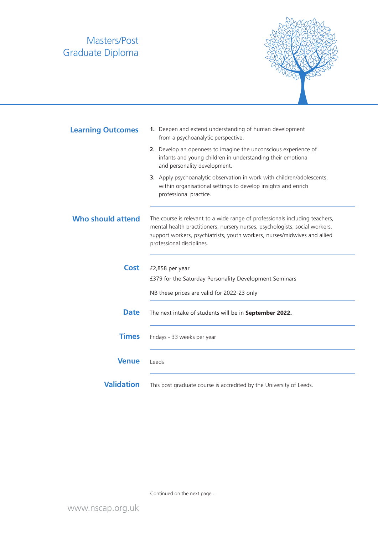## Masters/Post Graduate Diploma



| <b>Learning Outcomes</b> | 1. Deepen and extend understanding of human development<br>from a psychoanalytic perspective.                                                                                                                                                                        |
|--------------------------|----------------------------------------------------------------------------------------------------------------------------------------------------------------------------------------------------------------------------------------------------------------------|
|                          | 2. Develop an openness to imagine the unconscious experience of<br>infants and young children in understanding their emotional<br>and personality development.                                                                                                       |
|                          | 3. Apply psychoanalytic observation in work with children/adolescents,<br>within organisational settings to develop insights and enrich<br>professional practice.                                                                                                    |
| Who should attend        | The course is relevant to a wide range of professionals including teachers,<br>mental health practitioners, nursery nurses, psychologists, social workers,<br>support workers, psychiatrists, youth workers, nurses/midwives and allied<br>professional disciplines. |
| <b>Cost</b>              | £2,858 per year<br>£379 for the Saturday Personality Development Seminars                                                                                                                                                                                            |
|                          | NB these prices are valid for 2022-23 only                                                                                                                                                                                                                           |
| <b>Date</b>              | The next intake of students will be in September 2022.                                                                                                                                                                                                               |
| <b>Times</b>             | Fridays - 33 weeks per year                                                                                                                                                                                                                                          |
| <b>Venue</b>             | Leeds                                                                                                                                                                                                                                                                |
| <b>Validation</b>        | This post graduate course is accredited by the University of Leeds.                                                                                                                                                                                                  |